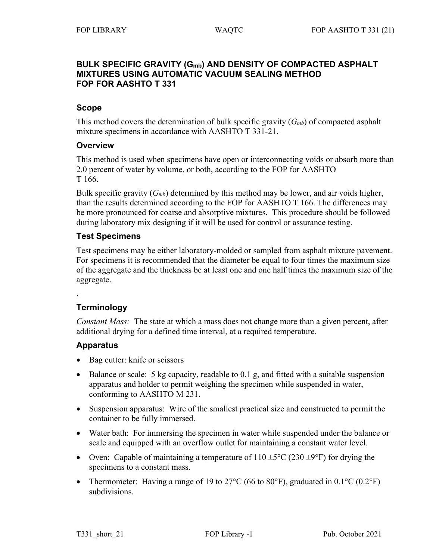### **BULK SPECIFIC GRAVITY (Gmb) AND DENSITY OF COMPACTED ASPHALT MIXTURES USING AUTOMATIC VACUUM SEALING METHOD FOP FOR AASHTO T 331**

#### **Scope**

This method covers the determination of bulk specific gravity (*Gmb*) of compacted asphalt mixture specimens in accordance with AASHTO T 331-21.

### **Overview**

This method is used when specimens have open or interconnecting voids or absorb more than 2.0 percent of water by volume, or both, according to the FOP for AASHTO T 166.

Bulk specific gravity (*Gmb*) determined by this method may be lower, and air voids higher, than the results determined according to the FOP for AASHTO T 166. The differences may be more pronounced for coarse and absorptive mixtures. This procedure should be followed during laboratory mix designing if it will be used for control or assurance testing.

### **Test Specimens**

Test specimens may be either laboratory-molded or sampled from asphalt mixture pavement. For specimens it is recommended that the diameter be equal to four times the maximum size of the aggregate and the thickness be at least one and one half times the maximum size of the aggregate.

**Terminology**

.

*Constant Mass:* The state at which a mass does not change more than a given percent, after additional drying for a defined time interval, at a required temperature.

### **Apparatus**

- Bag cutter: knife or scissors
- Balance or scale: 5 kg capacity, readable to 0.1 g, and fitted with a suitable suspension apparatus and holder to permit weighing the specimen while suspended in water, conforming to AASHTO M 231.
- Suspension apparatus: Wire of the smallest practical size and constructed to permit the container to be fully immersed.
- Water bath: For immersing the specimen in water while suspended under the balance or scale and equipped with an overflow outlet for maintaining a constant water level.
- Oven: Capable of maintaining a temperature of  $110 \pm 5^{\circ}$ C (230  $\pm 9^{\circ}$ F) for drying the specimens to a constant mass.
- Thermometer: Having a range of 19 to 27 $\rm{^{\circ}C}$  (66 to 80 $\rm{^{\circ}F}$ ), graduated in 0.1 $\rm{^{\circ}C}$  (0.2 $\rm{^{\circ}F}$ ) subdivisions.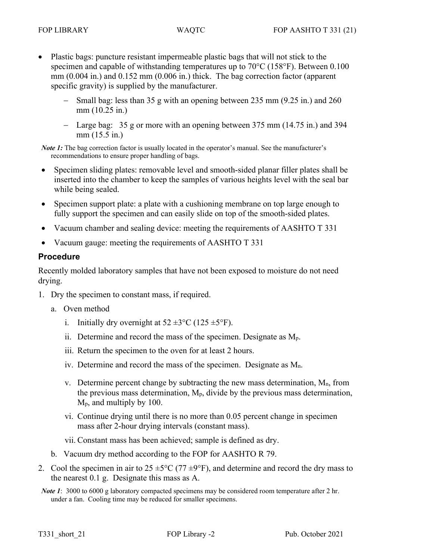- Plastic bags: puncture resistant impermeable plastic bags that will not stick to the specimen and capable of withstanding temperatures up to 70°C (158°F). Between 0.100 mm (0.004 in.) and 0.152 mm (0.006 in.) thick. The bag correction factor (apparent specific gravity) is supplied by the manufacturer.
	- − Small bag: less than 35 g with an opening between 235 mm (9.25 in.) and 260 mm (10.25 in.)
	- − Large bag: 35 g or more with an opening between 375 mm (14.75 in.) and 394 mm (15.5 in.)

*Note 1*: The bag correction factor is usually located in the operator's manual. See the manufacturer's recommendations to ensure proper handling of bags.

- Specimen sliding plates: removable level and smooth-sided planar filler plates shall be inserted into the chamber to keep the samples of various heights level with the seal bar while being sealed.
- Specimen support plate: a plate with a cushioning membrane on top large enough to fully support the specimen and can easily slide on top of the smooth-sided plates.
- Vacuum chamber and sealing device: meeting the requirements of AASHTO T 331
- Vacuum gauge: meeting the requirements of AASHTO T 331

#### **Procedure**

Recently molded laboratory samples that have not been exposed to moisture do not need drying.

- 1. Dry the specimen to constant mass, if required.
	- a. Oven method
		- i. Initially dry overnight at  $52 \pm 3^{\circ}$ C (125  $\pm 5^{\circ}$ F).
		- ii. Determine and record the mass of the specimen. Designate as Mp.
		- iii. Return the specimen to the oven for at least 2 hours.
		- iv. Determine and record the mass of the specimen. Designate as  $M_n$ .
		- v. Determine percent change by subtracting the new mass determination,  $M_n$ , from the previous mass determination,  $M_p$ , divide by the previous mass determination, Mp, and multiply by 100.
		- vi. Continue drying until there is no more than 0.05 percent change in specimen mass after 2-hour drying intervals (constant mass).
		- vii. Constant mass has been achieved; sample is defined as dry.
	- b. Vacuum dry method according to the FOP for AASHTO R 79.
- 2. Cool the specimen in air to  $25 \pm 5^{\circ}$ C (77  $\pm 9^{\circ}$ F), and determine and record the dry mass to the nearest 0.1 g. Designate this mass as A.
- *Note 1*: 3000 to 6000 g laboratory compacted specimens may be considered room temperature after 2 hr. under a fan. Cooling time may be reduced for smaller specimens.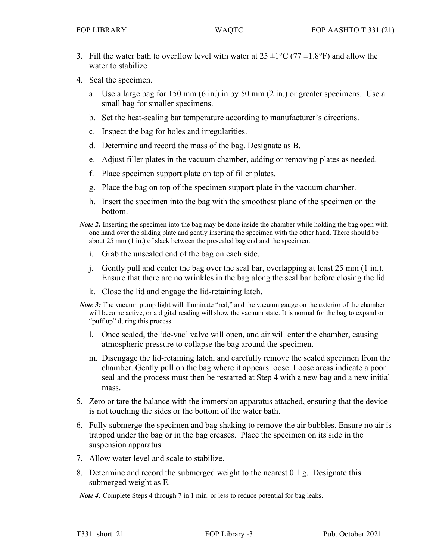- 3. Fill the water bath to overflow level with water at  $25 \pm 1^{\circ}C$  (77  $\pm 1.8^{\circ}F$ ) and allow the water to stabilize
- 4. Seal the specimen.
	- a. Use a large bag for 150 mm (6 in.) in by 50 mm (2 in.) or greater specimens. Use a small bag for smaller specimens.
	- b. Set the heat-sealing bar temperature according to manufacturer's directions.
	- c. Inspect the bag for holes and irregularities.
	- d. Determine and record the mass of the bag. Designate as B.
	- e. Adjust filler plates in the vacuum chamber, adding or removing plates as needed.
	- f. Place specimen support plate on top of filler plates.
	- g. Place the bag on top of the specimen support plate in the vacuum chamber.
	- h. Insert the specimen into the bag with the smoothest plane of the specimen on the bottom.
- *Note 2*: Inserting the specimen into the bag may be done inside the chamber while holding the bag open with one hand over the sliding plate and gently inserting the specimen with the other hand. There should be about 25 mm (1 in.) of slack between the presealed bag end and the specimen.
	- i. Grab the unsealed end of the bag on each side.
	- j. Gently pull and center the bag over the seal bar, overlapping at least 25 mm (1 in.). Ensure that there are no wrinkles in the bag along the seal bar before closing the lid.
	- k. Close the lid and engage the lid-retaining latch.
- *Note 3*: The vacuum pump light will illuminate "red," and the vacuum gauge on the exterior of the chamber will become active, or a digital reading will show the vacuum state. It is normal for the bag to expand or "puff up" during this process.
	- l. Once sealed, the 'de-vac' valve will open, and air will enter the chamber, causing atmospheric pressure to collapse the bag around the specimen.
	- m. Disengage the lid-retaining latch, and carefully remove the sealed specimen from the chamber. Gently pull on the bag where it appears loose. Loose areas indicate a poor seal and the process must then be restarted at Step 4 with a new bag and a new initial mass.
- 5. Zero or tare the balance with the immersion apparatus attached, ensuring that the device is not touching the sides or the bottom of the water bath.
- 6. Fully submerge the specimen and bag shaking to remove the air bubbles. Ensure no air is trapped under the bag or in the bag creases. Place the specimen on its side in the suspension apparatus.
- 7. Allow water level and scale to stabilize.
- 8. Determine and record the submerged weight to the nearest 0.1 g. Designate this submerged weight as E.

*Note 4*: Complete Steps 4 through 7 in 1 min. or less to reduce potential for bag leaks.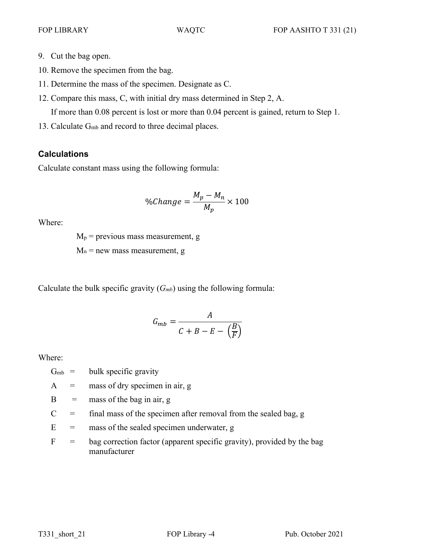- 9. Cut the bag open.
- 10. Remove the specimen from the bag.
- 11. Determine the mass of the specimen. Designate as C.
- 12. Compare this mass, C, with initial dry mass determined in Step 2, A.

If more than 0.08 percent is lost or more than 0.04 percent is gained, return to Step 1.

13. Calculate Gmb and record to three decimal places.

# **Calculations**

Calculate constant mass using the following formula:

$$
\%Change = \frac{M_p - M_n}{M_p} \times 100
$$

Where:

 $M_p$  = previous mass measurement, g  $M_n$  = new mass measurement, g

Calculate the bulk specific gravity  $(G<sub>mb</sub>)$  using the following formula:

$$
G_{mb} = \frac{A}{C + B - E - \left(\frac{B}{F}\right)}
$$

Where:

- $G<sub>mb</sub> = \text{bulk specific gravity}$
- $A =$  mass of dry specimen in air, g
- $B =$  mass of the bag in air, g
- $C =$  final mass of the specimen after removal from the sealed bag, g
- $E =$  mass of the sealed specimen underwater, g
- $F =$  bag correction factor (apparent specific gravity), provided by the bag manufacturer